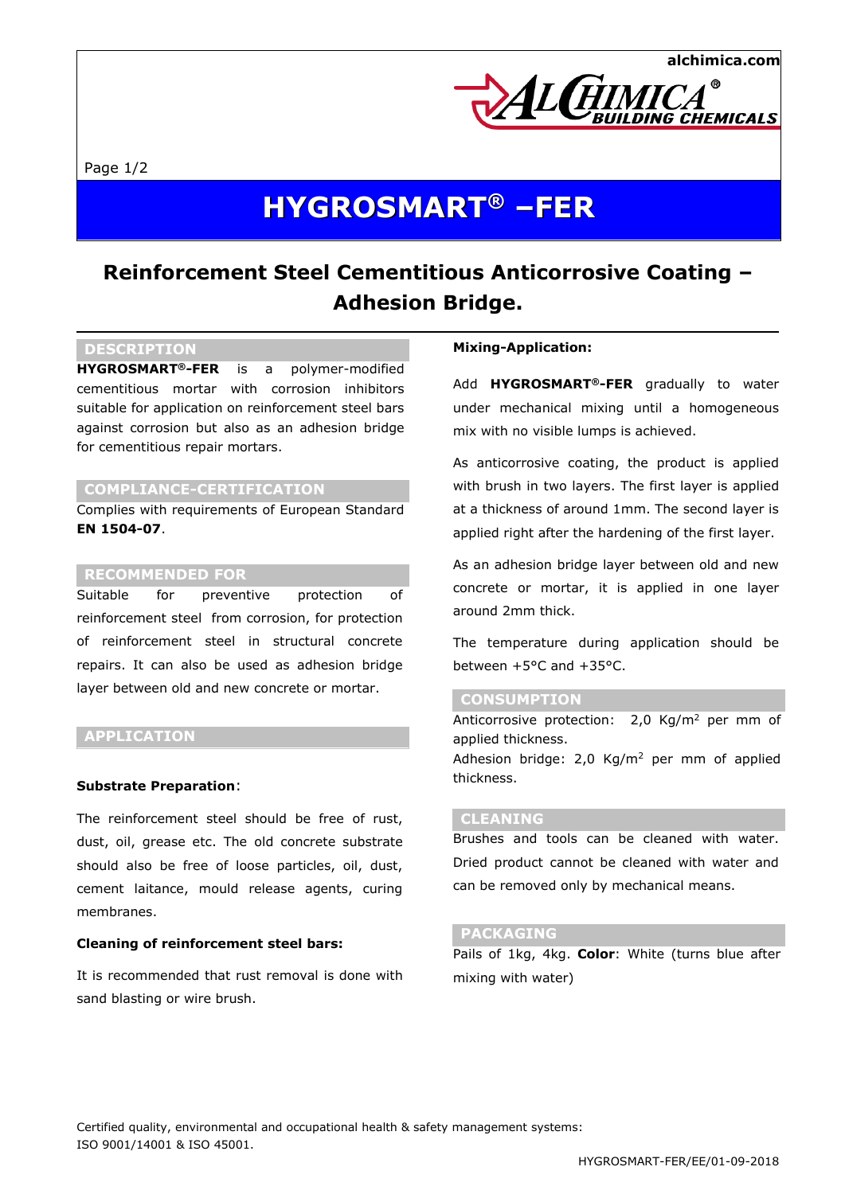

Page 1/2

# **HYGROSMART ® –FER**

# **Reinforcement Steel Cementitious Anticorrosive Coating – Adhesion Bridge.**

# **DESCRIPTION**

**HYGROSMART®-FER** is a polymer-modified cementitious mortar with corrosion inhibitors suitable for application on reinforcement steel bars against corrosion but also as an adhesion bridge for cementitious repair mortars.

## **COMPLIANCE-CERTIFICATION**

Complies with requirements of European Standard **EN 1504-07**.

### **RECOMMENDED FOR**

Suitable for preventive protection of reinforcement steel from corrosion, for protection of reinforcement steel in structural concrete repairs. It can also be used as adhesion bridge layer between old and new concrete or mortar.

### **APPLICATION**

#### **Substrate Preparation**:

The reinforcement steel should be free of rust, dust, oil, grease etc. The old concrete substrate should also be free of loose particles, oil, dust, cement laitance, mould release agents, curing membranes.

### **Cleaning of reinforcement steel bars:**

It is recommended that rust removal is done with sand blasting or wire brush.

#### **Mixing-Application:**

Add **HYGROSMART®-FER** gradually to water under mechanical mixing until a homogeneous mix with no visible lumps is achieved.

As anticorrosive coating, the product is applied with brush in two layers. The first layer is applied at a thickness of around 1mm. The second layer is applied right after the hardening of the first layer.

As an adhesion bridge layer between old and new concrete or mortar, it is applied in one layer around 2mm thick.

The temperature during application should be between  $+5^{\circ}$ C and  $+35^{\circ}$ C.

#### **CONSUMPTION**

Anticorrosive protection: 2,0 Kg/m<sup>2</sup> per mm of applied thickness. Adhesion bridge:  $2,0$  Kg/m<sup>2</sup> per mm of applied thickness.

# **CLEANING**

Brushes and tools can be cleaned with water. Dried product cannot be cleaned with water and can be removed only by mechanical means.

#### **PACKAGING**

Pails of 1kg, 4kg. **Color**: White (turns blue after mixing with water)